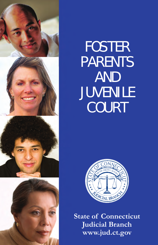

# FOSTER PARENTS AND JUVENILE **COURT**



**State of Connecticut Judicial Branch www.jud.ct.gov**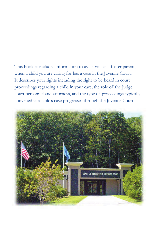This booklet includes information to assist you as a foster parent, when a child you are caring for has a case in the Juvenile Court. It describes your rights including the right to be heard in court proceedings regarding a child in your care, the role of the Judge, court personnel and attorneys, and the type of proceedings typically convened as a child's case progresses through the Juvenile Court.

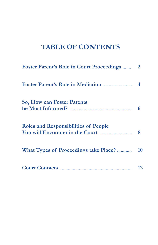#### **TABLE OF CONTENTS**

| <b>Foster Parent's Role in Court Proceedings </b> | $\overline{2}$ |
|---------------------------------------------------|----------------|
|                                                   |                |
| <b>So, How can Foster Parents</b>                 | 6              |
| <b>Roles and Responsibilities of People</b>       | 8              |
| What Types of Proceedings take Place?             | 10             |
|                                                   | 12             |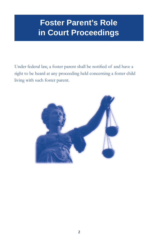# **Foster Parent's Role in Court Proceedings**

Under federal law, a foster parent shall be notified of and have a right to be heard at any proceeding held concerning a foster child living with such foster parent.

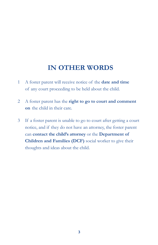#### **IN OTHER WORDS**

- 1 A foster parent will receive notice of the **date and time** of any court proceeding to be held about the child.
- 2 A foster parent has the **right to go to court and comment on** the child in their care.
- 3 If a foster parent is unable to go to court after getting a court notice, and if they do not have an attorney, the foster parent can **contact the child's attorney** or the **Department of Children and Families (DCF)** social worker to give their thoughts and ideas about the child.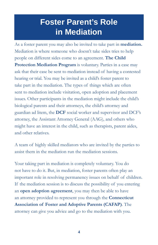## **Foster Parent's Role in Mediation**

As a foster parent you may also be invited to take part in **mediation.**  Mediation is where someone who doesn't take sides tries to help people on different sides come to an agreement. **The Child Protection Mediation Program** is voluntary. Parties in a case may ask that their case be sent to mediation instead of having a contested hearing or trial. You may be invited as a child's foster parent to take part in the mediation. The types of things which are often sent to mediation include visitation, open adoption and placement issues. Other participants in the mediation might include the child's biological parents and their attorneys, the child's attorney and guardian ad litem, the **DCF** social worker and supervisor and DCF's attorney, the Assistant Attorney General (AAG), and others who might have an interest in the child, such as therapists, parent aides, and other relatives.

A team of highly skilled mediators who are invited by the parties to assist them in the mediation run the mediation sessions.

Your taking part in mediation is completely voluntary. You do not have to do it. But, in mediation, foster parents often play an important role in resolving permanency issues on behalf of children. If the mediation session is to discuss the possibility of you entering an **open adoption agreement**, you may then be able to have an attorney provided to represent you through the **Connecticut Association of Foster and Adoptive Parents (CAFAP)**. The attorney can give you advice and go to the mediation with you.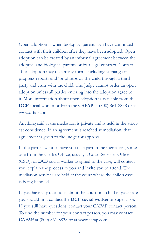Open adoption is when biological parents can have continued contact with their children after they have been adopted. Open adoption can be created by an informal agreement between the adoptive and biological parents or by a legal contract. Contact after adoption may take many forms including exchange of progress reports and/or photos of the child through a third party and visits with the child. The Judge cannot order an open adoption unless all parties entering into the adoption agree to it. More information about open adoption is available from the **DCF** social worker or from the **CAFAP** at (800) 861-8838 or at www.cafap.com

Anything said at the mediation is private and is held in the strictest confidence. If an agreement is reached at mediation, that agreement is given to the Judge for approval.

If the parties want to have you take part in the mediation, someone from the Clerk's Office, usually a Court Services Officer (CSO), or **DCF** social worker assigned to the case, will contact you, explain the process to you and invite you to attend. The mediation sessions are held at the court where the child's case is being handled.

If you have any questions about the court or a child in your care you should first contact the **DCF social worker** or supervisor. If you still have questions, contact your CAFAP contact person. To find the number for your contact person, you may contact **CAFAP** at (800) 861-8838 or at www.cafap.com

**5**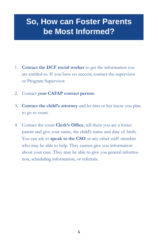## **So, How can Foster Parents be Most Informed?**

- 1. **Contact the DCF social worker** to get the information you are entitled to. If you have no success, contact the supervisor or Program Supervisor.
- 2. Contact **your CAFAP contact person**.
- 3. **Contact the child's attorney** and let him or her know you plan to go to court.
- 4. Contact the court **Clerk's Office**, tell them you are a foster parent and give your name, the child's name and date of birth. You can ask to **speak to the CSO** or any other staff member who may be able to help. They cannot give you information about your case. They may be able to give you general information, scheduling information, or referrals.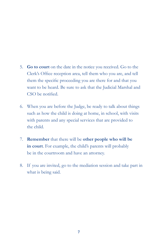- 5. **Go to court** on the date in the notice you received. Go to the Clerk's Office reception area, tell them who you are, and tell them the specific proceeding you are there for and that you want to be heard. Be sure to ask that the Judicial Marshal and CSO be notified.
- 6. When you are before the Judge, be ready to talk about things such as how the child is doing at home, in school, with visits with parents and any special services that are provided to the child.
- 7. **Remember** that there will be **other people who will be in court**. For example, the child's parents will probably be in the courtroom and have an attorney.
- 8. If you are invited, go to the mediation session and take part in what is being said.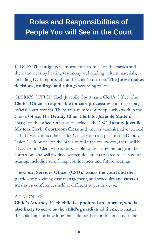#### **Roles and Responsibilities of People You will See in the Court**

JUDGE: **The Judge** gets information from all of the parties and their attorneys by hearing testimony and reading written materials, including DCF reports, about the child's situation. **The Judge makes decisions, findings and rulings** according to law.

CLERK'S OFFICE: Each Juvenile Court has a Clerk's Office. The **Clerk's Office is responsible for case processing** and for keeping official court records. There are a number of people who work in the Clerk's Office. The **Deputy Chief Clerk for Juvenile Matters** is in charge of the office. Other staff includes the CSO, **Deputy Juvenile Matters Clerk, Courtroom Clerk** and various administrative/clerical staff. If you contact the Clerk's Office you may speak to the Deputy Chief Clerk or one of the other staff. In the courtroom, there will be a Courtroom Clerk who is responsible for assisting the Judge in the courtroom and will produce written documents related to each court hearing, including scheduling continuances and future hearings.

The **Court Services Officer (CSO): assists the court and the parties** by providing case management, and schedules and **runs or mediates** conferences held at different stages in a case.

#### ATTORNEYS:

**Child's Attorney**: **Each child is appointed an attorney, who is also likely to serve as the child's guardian ad litem**, no matter the child's age or how long the child has been in foster care. If the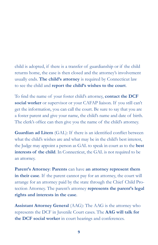child is adopted, if there is a transfer of guardianship or if the child returns home, the case is then closed and the attorney's involvement usually ends. **The child's attorney** is required by Connecticut law to see the child and **report the child's wishes to the court**.

To find the name of your foster child's attorney, **contact the DCF social worker** or supervisor or your CAFAP liaison. If you still can't get the information, you can call the court. Be sure to say that you are a foster parent and give your name, the child's name and date of birth. The clerk's office can then give you the name of the child's attorney.

**Guardian ad Litem** (GAL): If there is an identified conflict between what the child's wishes are and what may be in the child's best interest, the Judge may appoint a person as GAL to speak in court as to the **best interests of the child**. In Connecticut, the GAL is not required to be an attorney.

**Parent's Attorney**: **Parents** can have **an attorney represent them in their case**. If the parent cannot pay for an attorney, the court will arrange for an attorney paid by the state through the Chief Child Protection Attorney. The parent's attorney **represents the parent's legal rights and interests in the case**.

**Assistant Attorney General** (AAG): The AAG is the attorney who represents the DCF in Juvenile Court cases. The **AAG will talk for the DCF social worker** in court hearings and conferences.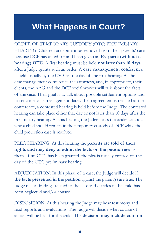#### **What Happens in Court?**

ORDER OF TEMPORARY CUSTODY (OTC) PRELIMINARY HEARING: Children are sometimes removed from their parents' care because DCF has asked for and been given an **Ex-parte (without a hearing) OTC**. A first hearing must be held **not later than 10 days** after a Judge grants such an order. A **case management conference** is held, usually by the CSO, on the day of the first hearing. At the case management conference the attorneys, and, if appropriate, their clients, the AAG and the DCF social worker will talk about the facts of the case. Their goal is to talk about possible settlement options and to set court case management dates. If no agreement is reached at the conference, a contested hearing is held before the Judge. The contested hearing can take place either that day or not later than 10 days after the preliminary hearing. At this hearing the Judge hears the evidence about why a child should remain in the temporary custody of DCF while the child protection case is resolved.

PLEA HEARING: At this hearing the **parents are told of their rights and may deny or admit the facts on the petition** against them. If an OTC has been granted, the plea is usually entered on the day of the OTC preliminary hearing.

ADJUDICATION: In this phase of a case, the Judge will decide if **the facts presented in the petition** against the parent(s) are true. The Judge makes findings related to the case and decides if the child has been neglected and/or abused.

DISPOSITION: At this hearing the Judge may hear testimony and read reports and evaluations. The Judge will decide what course of action will be best for the child. The **decision may include commit-**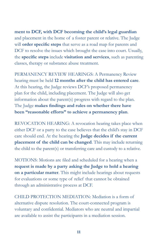**ment to DCF, with DCF becoming the child's legal guardian**  and placement in the home of a foster parent or relative. The Judge will **order specific steps** that serve as a road map for parents and DCF to resolve the issues which brought the case into court. Usually, the **specific steps** include **visitation and services**, such as parenting classes, therapy or substance abuse treatment.

PERMANENCY REVIEW HEARINGS: A Permanency Review hearing must be held **12 months after the child has entered care**. At this hearing, the Judge reviews DCF's proposed permanency plan for the child, including placement. The Judge will also get information about the parent(s) progress with regard to the plan. The Judge **makes findings and rules on whether there have been "reasonable efforts" to achieve a permanency plan**.

REVOCATION HEARING: A revocation hearing takes place when either DCF or a party to the case believes that the child's stay in DCF care should end. At the hearing the **Judge decides if the current placement of the child can be changed**. This may include returning the child to the parent(s) or transferring care and custody to a relative.

MOTIONS: Motions are filed and scheduled for a hearing when a **request is made by a party asking the Judge to hold a hearing on a particular matter**. This might include hearings about requests for evaluations or some type of relief that cannot be obtained through an administrative process at DCF.

CHILD PROTECTION MEDIATION: Mediation is a form of alternative dispute resolution. The court-connected program is voluntary and confidential. Mediators who are neutral and impartial are available to assist the participants in a mediation session.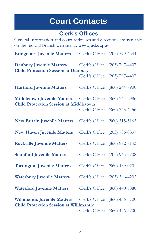## **Court Contacts**

#### **Clerk's Offices**

General Information and court addresses and directions are available on the Judicial Branch web site at: **www.jud.ct.gov**

| <b>Bridgeport Juvenile Matters</b>                                                                 |                | Clerk's Office (203) 579-6544 |
|----------------------------------------------------------------------------------------------------|----------------|-------------------------------|
| <b>Danbury Juvenile Matters</b><br><b>Child Protection Session at Danbury</b>                      |                | Clerk's Office (203) 797-4407 |
|                                                                                                    |                | Clerk's Office (203) 797-4407 |
| <b>Hartford Juvenile Matters</b>                                                                   |                | Clerk's Office (860) 244-7900 |
| <b>Middletown Juvenile Matters</b> Clerk's Office<br><b>Child Protection Session at Middletown</b> |                | $(860)$ 344-2986              |
|                                                                                                    | Clerk's Office | $(860)$ 343-6456              |
| <b>New Britain Juvenile Matters</b>                                                                |                | Clerk's Office (860) 515-5165 |
| <b>New Haven Juvenile Matters</b>                                                                  |                | Clerk's Office (203) 786-0337 |
| <b>Rockville Juvenile Matters</b>                                                                  |                | Clerk's Office (860) 872-7143 |
| <b>Stamford Juvenile Matters</b>                                                                   |                | Clerk's Office (203) 965-5708 |
| <b>Torrington Juvenile Matters</b>                                                                 |                | Clerk's Office (860) 489-0201 |
| <b>Waterbury Juvenile Matters</b>                                                                  |                | Clerk's Office (203) 596-4202 |
| <b>Waterford Juvenile Matters</b>                                                                  |                | Clerk's Office (860) 440-5880 |
| <b>Willimantic Juvenile Matters</b><br><b>Child Protection Session at Willimantic</b>              | Clerk's Office | $(860)$ 456-5700              |
|                                                                                                    | Clerk's Office | $(860)$ 456-5700              |